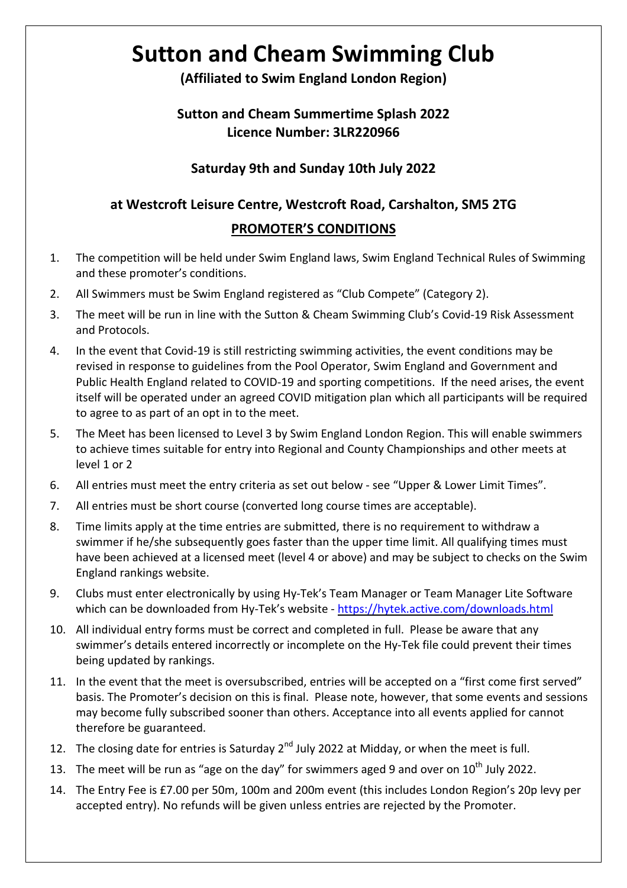# **Sutton and Cheam Swimming Club**

**(Affiliated to Swim England London Region)**

#### **Sutton and Cheam Summertime Splash 2022 Licence Number: 3LR220966**

#### **Saturday 9th and Sunday 10th July 2022**

#### **at Westcroft Leisure Centre, Westcroft Road, Carshalton, SM5 2TG**

#### **PROMOTER'S CONDITIONS**

- 1. The competition will be held under Swim England laws, Swim England Technical Rules of Swimming and these promoter's conditions.
- 2. All Swimmers must be Swim England registered as "Club Compete" (Category 2).
- 3. The meet will be run in line with the Sutton & Cheam Swimming Club's Covid-19 Risk Assessment and Protocols.
- 4. In the event that Covid-19 is still restricting swimming activities, the event conditions may be revised in response to guidelines from the Pool Operator, Swim England and Government and Public Health England related to COVID-19 and sporting competitions. If the need arises, the event itself will be operated under an agreed COVID mitigation plan which all participants will be required to agree to as part of an opt in to the meet.
- 5. The Meet has been licensed to Level 3 by Swim England London Region. This will enable swimmers to achieve times suitable for entry into Regional and County Championships and other meets at level 1 or 2
- 6. All entries must meet the entry criteria as set out below see "Upper & Lower Limit Times".
- 7. All entries must be short course (converted long course times are acceptable).
- 8. Time limits apply at the time entries are submitted, there is no requirement to withdraw a swimmer if he/she subsequently goes faster than the upper time limit. All qualifying times must have been achieved at a licensed meet (level 4 or above) and may be subject to checks on the Swim England rankings website.
- 9. Clubs must enter electronically by using Hy-Tek's Team Manager or Team Manager Lite Software which can be downloaded from Hy-Tek's website - <https://hytek.active.com/downloads.html>
- 10. All individual entry forms must be correct and completed in full. Please be aware that any swimmer's details entered incorrectly or incomplete on the Hy-Tek file could prevent their times being updated by rankings.
- 11. In the event that the meet is oversubscribed, entries will be accepted on a "first come first served" basis. The Promoter's decision on this is final. Please note, however, that some events and sessions may become fully subscribed sooner than others. Acceptance into all events applied for cannot therefore be guaranteed.
- 12. The closing date for entries is Saturday 2<sup>nd</sup> July 2022 at Midday, or when the meet is full.
- 13. The meet will be run as "age on the day" for swimmers aged 9 and over on  $10^{th}$  July 2022.
- 14. The Entry Fee is £7.00 per 50m, 100m and 200m event (this includes London Region's 20p levy per accepted entry). No refunds will be given unless entries are rejected by the Promoter.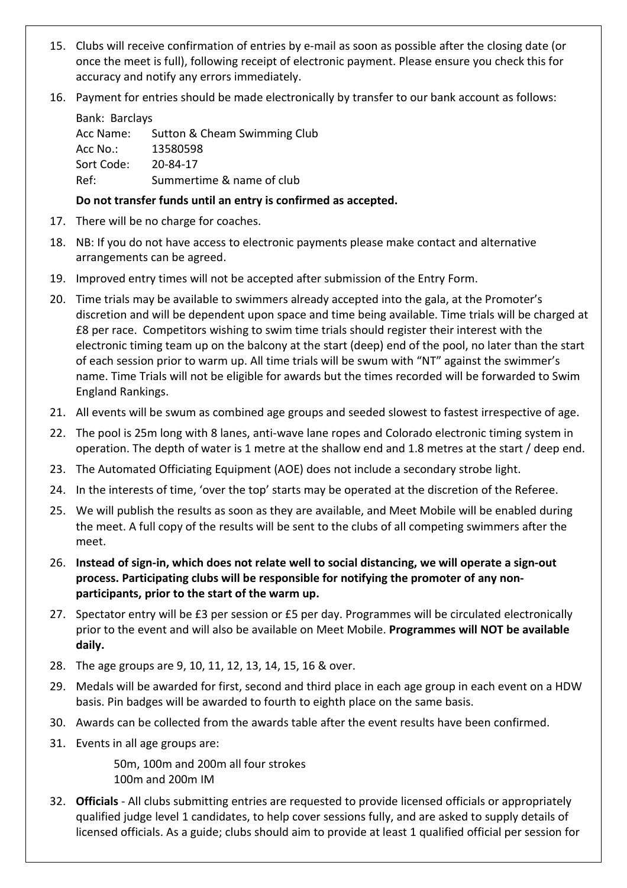- 15. Clubs will receive confirmation of entries by e-mail as soon as possible after the closing date (or once the meet is full), following receipt of electronic payment. Please ensure you check this for accuracy and notify any errors immediately.
- 16. Payment for entries should be made electronically by transfer to our bank account as follows:

| Bank: Barclays |                              |  |  |  |  |  |  |  |
|----------------|------------------------------|--|--|--|--|--|--|--|
| Acc Name:      | Sutton & Cheam Swimming Club |  |  |  |  |  |  |  |
| Acc No.:       | 13580598                     |  |  |  |  |  |  |  |
| Sort Code:     | 20-84-17                     |  |  |  |  |  |  |  |
| Ref:           | Summertime & name of club    |  |  |  |  |  |  |  |

#### **Do not transfer funds until an entry is confirmed as accepted.**

- 17. There will be no charge for coaches.
- 18. NB: If you do not have access to electronic payments please make contact and alternative arrangements can be agreed.
- 19. Improved entry times will not be accepted after submission of the Entry Form.
- 20. Time trials may be available to swimmers already accepted into the gala, at the Promoter's discretion and will be dependent upon space and time being available. Time trials will be charged at £8 per race. Competitors wishing to swim time trials should register their interest with the electronic timing team up on the balcony at the start (deep) end of the pool, no later than the start of each session prior to warm up. All time trials will be swum with "NT" against the swimmer's name. Time Trials will not be eligible for awards but the times recorded will be forwarded to Swim England Rankings.
- 21. All events will be swum as combined age groups and seeded slowest to fastest irrespective of age.
- 22. The pool is 25m long with 8 lanes, anti-wave lane ropes and Colorado electronic timing system in operation. The depth of water is 1 metre at the shallow end and 1.8 metres at the start / deep end.
- 23. The Automated Officiating Equipment (AOE) does not include a secondary strobe light.
- 24. In the interests of time, 'over the top' starts may be operated at the discretion of the Referee.
- 25. We will publish the results as soon as they are available, and Meet Mobile will be enabled during the meet. A full copy of the results will be sent to the clubs of all competing swimmers after the meet.
- 26. **Instead of sign-in, which does not relate well to social distancing, we will operate a sign-out process. Participating clubs will be responsible for notifying the promoter of any nonparticipants, prior to the start of the warm up.**
- 27. Spectator entry will be £3 per session or £5 per day. Programmes will be circulated electronically prior to the event and will also be available on Meet Mobile. **Programmes will NOT be available daily.**
- 28. The age groups are 9, 10, 11, 12, 13, 14, 15, 16 & over.
- 29. Medals will be awarded for first, second and third place in each age group in each event on a HDW basis. Pin badges will be awarded to fourth to eighth place on the same basis.
- 30. Awards can be collected from the awards table after the event results have been confirmed.
- 31. Events in all age groups are:

50m, 100m and 200m all four strokes 100m and 200m IM

32. **Officials** - All clubs submitting entries are requested to provide licensed officials or appropriately qualified judge level 1 candidates, to help cover sessions fully, and are asked to supply details of licensed officials. As a guide; clubs should aim to provide at least 1 qualified official per session for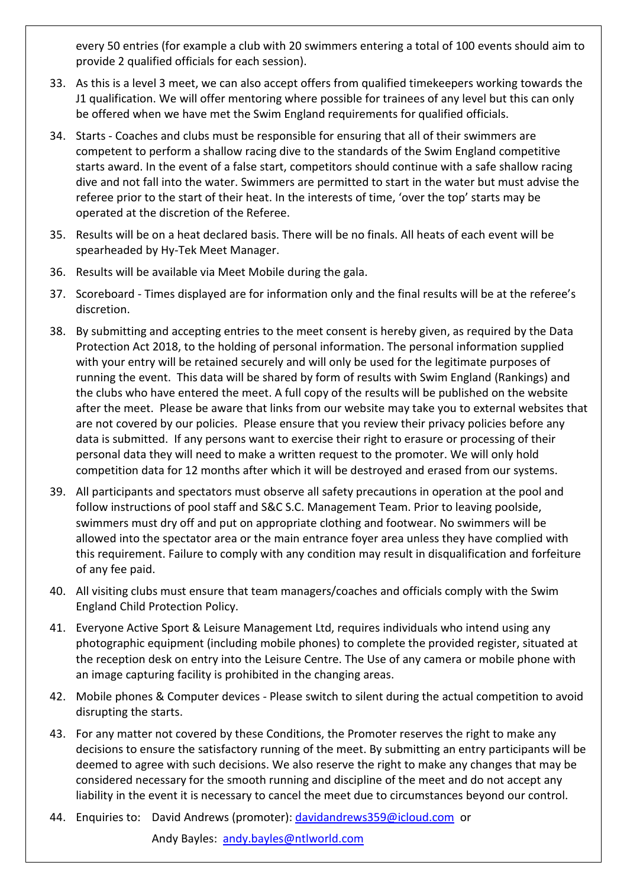every 50 entries (for example a club with 20 swimmers entering a total of 100 events should aim to provide 2 qualified officials for each session).

- 33. As this is a level 3 meet, we can also accept offers from qualified timekeepers working towards the J1 qualification. We will offer mentoring where possible for trainees of any level but this can only be offered when we have met the Swim England requirements for qualified officials.
- 34. Starts Coaches and clubs must be responsible for ensuring that all of their swimmers are competent to perform a shallow racing dive to the standards of the Swim England competitive starts award. In the event of a false start, competitors should continue with a safe shallow racing dive and not fall into the water. Swimmers are permitted to start in the water but must advise the referee prior to the start of their heat. In the interests of time, 'over the top' starts may be operated at the discretion of the Referee.
- 35. Results will be on a heat declared basis. There will be no finals. All heats of each event will be spearheaded by Hy-Tek Meet Manager.
- 36. Results will be available via Meet Mobile during the gala.
- 37. Scoreboard Times displayed are for information only and the final results will be at the referee's discretion.
- 38. By submitting and accepting entries to the meet consent is hereby given, as required by the Data Protection Act 2018, to the holding of personal information. The personal information supplied with your entry will be retained securely and will only be used for the legitimate purposes of running the event. This data will be shared by form of results with Swim England (Rankings) and the clubs who have entered the meet. A full copy of the results will be published on the website after the meet. Please be aware that links from our website may take you to external websites that are not covered by our policies. Please ensure that you review their privacy policies before any data is submitted. If any persons want to exercise their right to erasure or processing of their personal data they will need to make a written request to the promoter. We will only hold competition data for 12 months after which it will be destroyed and erased from our systems.
- 39. All participants and spectators must observe all safety precautions in operation at the pool and follow instructions of pool staff and S&C S.C. Management Team. Prior to leaving poolside, swimmers must dry off and put on appropriate clothing and footwear. No swimmers will be allowed into the spectator area or the main entrance foyer area unless they have complied with this requirement. Failure to comply with any condition may result in disqualification and forfeiture of any fee paid.
- 40. All visiting clubs must ensure that team managers/coaches and officials comply with the Swim England Child Protection Policy.
- 41. Everyone Active Sport & Leisure Management Ltd, requires individuals who intend using any photographic equipment (including mobile phones) to complete the provided register, situated at the reception desk on entry into the Leisure Centre. The Use of any camera or mobile phone with an image capturing facility is prohibited in the changing areas.
- 42. Mobile phones & Computer devices Please switch to silent during the actual competition to avoid disrupting the starts.
- 43. For any matter not covered by these Conditions, the Promoter reserves the right to make any decisions to ensure the satisfactory running of the meet. By submitting an entry participants will be deemed to agree with such decisions. We also reserve the right to make any changes that may be considered necessary for the smooth running and discipline of the meet and do not accept any liability in the event it is necessary to cancel the meet due to circumstances beyond our control.
- 44. Enquiries to: David Andrews (promoter): [davidandrews359@icloud.com](mailto:davidandrews359@icloud.com) or

Andy Bayles: [andy.bayles@ntlworld.com](mailto:andy.bayles@ntlworld.com)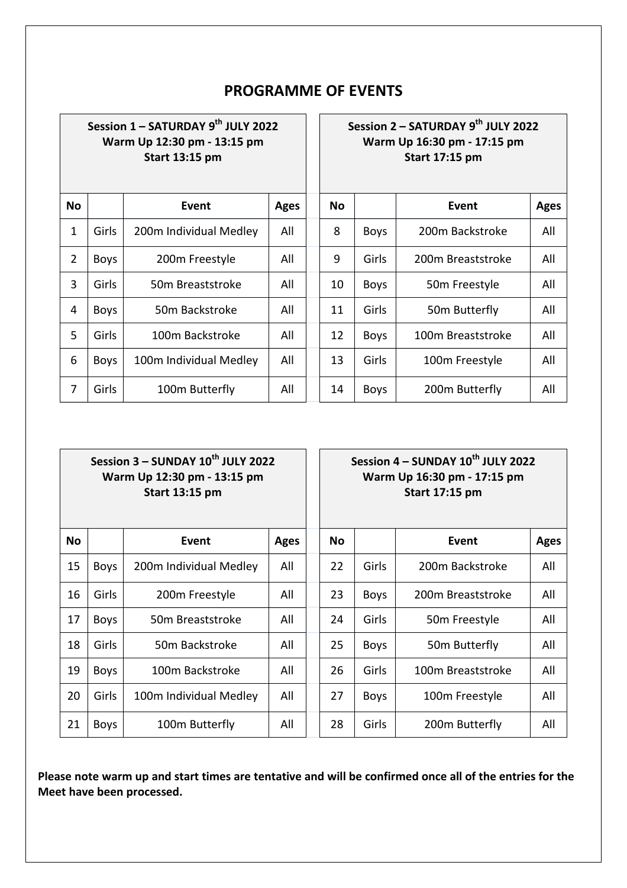|              |                             | Session $1 - SATURDAY 9th JULY 2022$<br>Warm Up 12:30 pm - 13:15 pm<br><b>Start 13:15 pm</b> |     |  | Session 2 - SATURDAY 9th JULY 2022<br>Warm Up 16:30 pm - 17:15 pm<br><b>Start 17:15 pm</b> |             |                           |             |  |
|--------------|-----------------------------|----------------------------------------------------------------------------------------------|-----|--|--------------------------------------------------------------------------------------------|-------------|---------------------------|-------------|--|
| <b>No</b>    | <b>Event</b><br><b>Ages</b> |                                                                                              |     |  | <b>No</b>                                                                                  |             | Event                     | <b>Ages</b> |  |
| $\mathbf{1}$ | Girls                       | 200m Individual Medley                                                                       | All |  | 8                                                                                          | <b>Boys</b> | 200m Backstroke           | All         |  |
| 2            | <b>Boys</b>                 | 200m Freestyle                                                                               | All |  | 9                                                                                          | Girls       | 200m Breaststroke         | All         |  |
| 3            | Girls                       | All<br>50m Breaststroke                                                                      |     |  | 10                                                                                         | <b>Boys</b> | 50m Freestyle             | All         |  |
| 4            | <b>Boys</b>                 | 50m Backstroke                                                                               | All |  | 11                                                                                         | Girls       | 50 <sub>m</sub> Butterfly | All         |  |
| 5            | Girls                       | 100m Backstroke                                                                              | All |  | 12                                                                                         | <b>Boys</b> | 100m Breaststroke         | All         |  |
| 6            | <b>Boys</b>                 | 100m Individual Medley                                                                       | All |  | 13                                                                                         | Girls       | 100m Freestyle            | All         |  |
| 7            | Girls                       | 100m Butterfly                                                                               | All |  | 14                                                                                         | <b>Boys</b> | 200m Butterfly            | All         |  |

### **PROGRAMME OF EVENTS**

 $\mathbf{I}$ 

| Session $3 -$ SUNDAY $10^{th}$ JULY 2022<br>Warm Up 12:30 pm - 13:15 pm<br><b>Start 13:15 pm</b> |                                        |                                     |     |  | Session 4 - SUNDAY 10 <sup>th</sup> JULY 2022<br>Warm Up 16:30 pm - 17:15 pm<br><b>Start 17:15 pm</b> |             |                   |             |  |
|--------------------------------------------------------------------------------------------------|----------------------------------------|-------------------------------------|-----|--|-------------------------------------------------------------------------------------------------------|-------------|-------------------|-------------|--|
| <b>No</b>                                                                                        | Event<br><b>Ages</b>                   |                                     |     |  | <b>No</b>                                                                                             |             | Event             | <b>Ages</b> |  |
| 15                                                                                               | <b>Boys</b>                            | 200m Individual Medley              | All |  | 22                                                                                                    | Girls       | 200m Backstroke   | All         |  |
| 16                                                                                               | Girls                                  | 200m Freestyle                      | All |  | 23                                                                                                    | <b>Boys</b> | 200m Breaststroke | All         |  |
| 17                                                                                               | <b>Boys</b>                            | All<br>50 <sub>m</sub> Breaststroke |     |  | 24                                                                                                    | Girls       | 50m Freestyle     | All         |  |
| 18                                                                                               | Girls                                  | 50m Backstroke                      |     |  | 25                                                                                                    | <b>Boys</b> | 50m Butterfly     | All         |  |
| 19                                                                                               | <b>Boys</b>                            | 100m Backstroke                     |     |  | 26                                                                                                    | Girls       | 100m Breaststroke | All         |  |
| 20                                                                                               | Girls<br>All<br>100m Individual Medley |                                     |     |  | 27                                                                                                    | <b>Boys</b> | 100m Freestyle    | All         |  |
| 21                                                                                               | All<br>100m Butterfly<br><b>Boys</b>   |                                     |     |  | 28                                                                                                    | Girls       | 200m Butterfly    | All         |  |

Please note warm up and start times are tentative and will be confirmed once all of the entries for the **Meet have been processed.**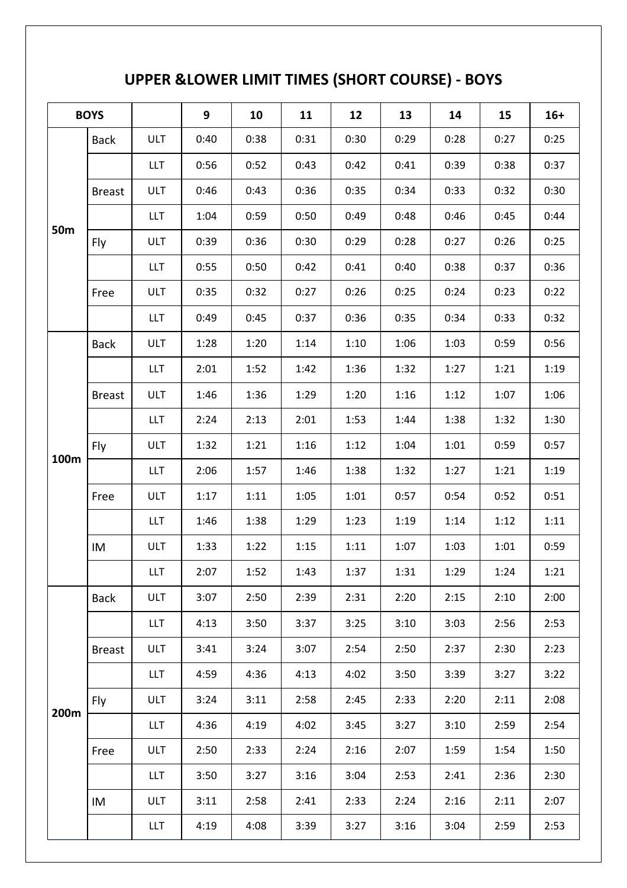## **UPPER &LOWER LIMIT TIMES (SHORT COURSE) - BOYS**

| <b>BOYS</b> |               |            | 9    | 10   | 11   | 12   | 13   | 14   | 15   | $16+$ |
|-------------|---------------|------------|------|------|------|------|------|------|------|-------|
|             | <b>Back</b>   | <b>ULT</b> | 0:40 | 0:38 | 0:31 | 0:30 | 0:29 | 0:28 | 0:27 | 0:25  |
|             |               | <b>LLT</b> | 0:56 | 0:52 | 0:43 | 0:42 | 0:41 | 0:39 | 0:38 | 0:37  |
|             | <b>Breast</b> | <b>ULT</b> | 0:46 | 0:43 | 0:36 | 0:35 | 0:34 | 0:33 | 0:32 | 0:30  |
|             |               | <b>LLT</b> | 1:04 | 0:59 | 0:50 | 0:49 | 0:48 | 0:46 | 0:45 | 0:44  |
| <b>50m</b>  | Fly           | <b>ULT</b> | 0:39 | 0:36 | 0:30 | 0:29 | 0:28 | 0:27 | 0:26 | 0:25  |
|             |               | <b>LLT</b> | 0:55 | 0:50 | 0:42 | 0:41 | 0:40 | 0:38 | 0:37 | 0:36  |
|             | Free          | <b>ULT</b> | 0:35 | 0:32 | 0:27 | 0:26 | 0:25 | 0:24 | 0:23 | 0:22  |
|             |               | <b>LLT</b> | 0:49 | 0:45 | 0:37 | 0:36 | 0:35 | 0:34 | 0:33 | 0:32  |
|             | <b>Back</b>   | <b>ULT</b> | 1:28 | 1:20 | 1:14 | 1:10 | 1:06 | 1:03 | 0:59 | 0:56  |
|             |               | <b>LLT</b> | 2:01 | 1:52 | 1:42 | 1:36 | 1:32 | 1:27 | 1:21 | 1:19  |
|             | <b>Breast</b> | <b>ULT</b> | 1:46 | 1:36 | 1:29 | 1:20 | 1:16 | 1:12 | 1:07 | 1:06  |
|             |               | <b>LLT</b> | 2:24 | 2:13 | 2:01 | 1:53 | 1:44 | 1:38 | 1:32 | 1:30  |
|             | Fly           | <b>ULT</b> | 1:32 | 1:21 | 1:16 | 1:12 | 1:04 | 1:01 | 0:59 | 0:57  |
| 100m        |               | <b>LLT</b> | 2:06 | 1:57 | 1:46 | 1:38 | 1:32 | 1:27 | 1:21 | 1:19  |
|             | Free          | <b>ULT</b> | 1:17 | 1:11 | 1:05 | 1:01 | 0:57 | 0:54 | 0:52 | 0:51  |
|             |               | <b>LLT</b> | 1:46 | 1:38 | 1:29 | 1:23 | 1:19 | 1:14 | 1:12 | 1:11  |
|             | IM            | <b>ULT</b> | 1:33 | 1:22 | 1:15 | 1:11 | 1:07 | 1:03 | 1:01 | 0:59  |
|             |               | <b>LLT</b> | 2:07 | 1:52 | 1:43 | 1:37 | 1:31 | 1:29 | 1:24 | 1:21  |
|             | <b>Back</b>   | <b>ULT</b> | 3:07 | 2:50 | 2:39 | 2:31 | 2:20 | 2:15 | 2:10 | 2:00  |
|             |               | <b>LLT</b> | 4:13 | 3:50 | 3:37 | 3:25 | 3:10 | 3:03 | 2:56 | 2:53  |
|             | <b>Breast</b> | <b>ULT</b> | 3:41 | 3:24 | 3:07 | 2:54 | 2:50 | 2:37 | 2:30 | 2:23  |
|             |               | <b>LLT</b> | 4:59 | 4:36 | 4:13 | 4:02 | 3:50 | 3:39 | 3:27 | 3:22  |
|             | Fly           | <b>ULT</b> | 3:24 | 3:11 | 2:58 | 2:45 | 2:33 | 2:20 | 2:11 | 2:08  |
| 200m        |               | <b>LLT</b> | 4:36 | 4:19 | 4:02 | 3:45 | 3:27 | 3:10 | 2:59 | 2:54  |
|             | Free          | <b>ULT</b> | 2:50 | 2:33 | 2:24 | 2:16 | 2:07 | 1:59 | 1:54 | 1:50  |
|             |               | <b>LLT</b> | 3:50 | 3:27 | 3:16 | 3:04 | 2:53 | 2:41 | 2:36 | 2:30  |
|             | IM            | <b>ULT</b> | 3:11 | 2:58 | 2:41 | 2:33 | 2:24 | 2:16 | 2:11 | 2:07  |
|             |               | <b>LLT</b> | 4:19 | 4:08 | 3:39 | 3:27 | 3:16 | 3:04 | 2:59 | 2:53  |